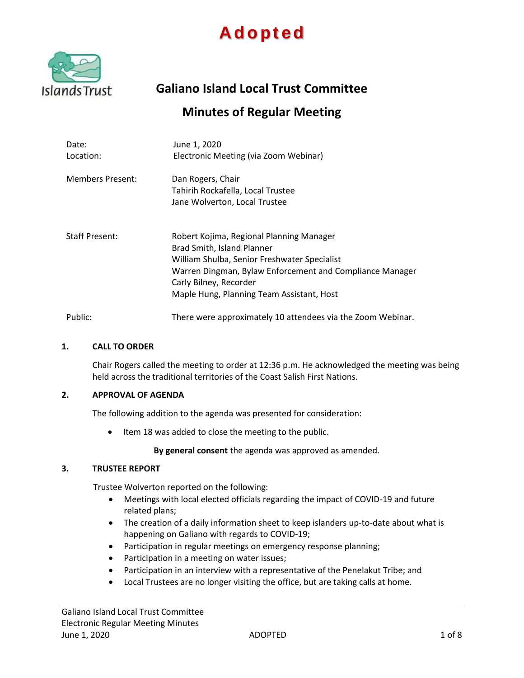# **A d o p t e d**



**Galiano Island Local Trust Committee**

## **Minutes of Regular Meeting**

| Date:<br>Location:      | June 1, 2020<br>Electronic Meeting (via Zoom Webinar)                                                                                                                                                                                                     |
|-------------------------|-----------------------------------------------------------------------------------------------------------------------------------------------------------------------------------------------------------------------------------------------------------|
| <b>Members Present:</b> | Dan Rogers, Chair<br>Tahirih Rockafella, Local Trustee<br>Jane Wolverton, Local Trustee                                                                                                                                                                   |
| <b>Staff Present:</b>   | Robert Kojima, Regional Planning Manager<br>Brad Smith, Island Planner<br>William Shulba, Senior Freshwater Specialist<br>Warren Dingman, Bylaw Enforcement and Compliance Manager<br>Carly Bilney, Recorder<br>Maple Hung, Planning Team Assistant, Host |
| Public:                 | There were approximately 10 attendees via the Zoom Webinar.                                                                                                                                                                                               |

#### **1. CALL TO ORDER**

Chair Rogers called the meeting to order at 12:36 p.m. He acknowledged the meeting was being held across the traditional territories of the Coast Salish First Nations.

#### **2. APPROVAL OF AGENDA**

The following addition to the agenda was presented for consideration:

• Item 18 was added to close the meeting to the public.

**By general consent** the agenda was approved as amended.

## **3. TRUSTEE REPORT**

Trustee Wolverton reported on the following:

- Meetings with local elected officials regarding the impact of COVID-19 and future related plans;
- The creation of a daily information sheet to keep islanders up-to-date about what is happening on Galiano with regards to COVID-19;
- Participation in regular meetings on emergency response planning;
- Participation in a meeting on water issues;
- Participation in an interview with a representative of the Penelakut Tribe; and
- Local Trustees are no longer visiting the office, but are taking calls at home.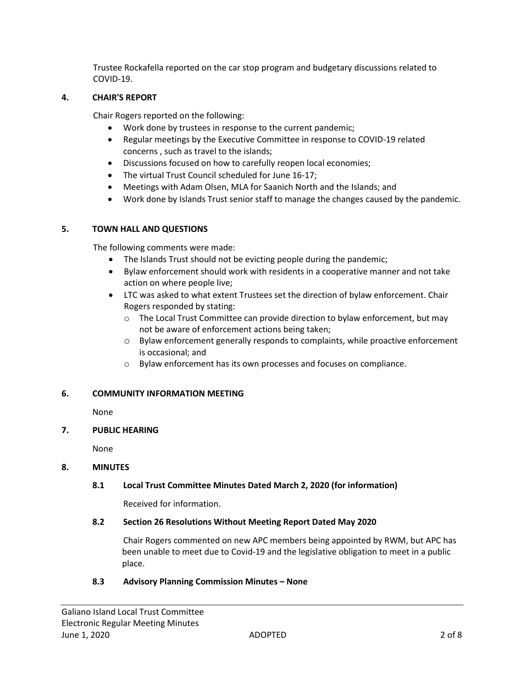Trustee Rockafella reported on the car stop program and budgetary discussions related to COVID-19.

## **4. CHAIR'S REPORT**

Chair Rogers reported on the following:

- Work done by trustees in response to the current pandemic;
- Regular meetings by the Executive Committee in response to COVID-19 related concerns , such as travel to the islands;
- Discussions focused on how to carefully reopen local economies;
- The virtual Trust Council scheduled for June 16-17;
- Meetings with Adam Olsen, MLA for Saanich North and the Islands; and
- Work done by Islands Trust senior staff to manage the changes caused by the pandemic.

## **5. TOWN HALL AND QUESTIONS**

The following comments were made:

- The Islands Trust should not be evicting people during the pandemic;
- Bylaw enforcement should work with residents in a cooperative manner and not take action on where people live;
- LTC was asked to what extent Trustees set the direction of bylaw enforcement. Chair Rogers responded by stating:
	- $\circ$  The Local Trust Committee can provide direction to bylaw enforcement, but may not be aware of enforcement actions being taken;
	- o Bylaw enforcement generally responds to complaints, while proactive enforcement is occasional; and
	- o Bylaw enforcement has its own processes and focuses on compliance.

## **6. COMMUNITY INFORMATION MEETING**

None

## **7. PUBLIC HEARING**

None

#### **8. MINUTES**

## **8.1 Local Trust Committee Minutes Dated March 2, 2020 (for information)**

Received for information.

## **8.2 Section 26 Resolutions Without Meeting Report Dated May 2020**

Chair Rogers commented on new APC members being appointed by RWM, but APC has been unable to meet due to Covid-19 and the legislative obligation to meet in a public place.

## **8.3 Advisory Planning Commission Minutes – None**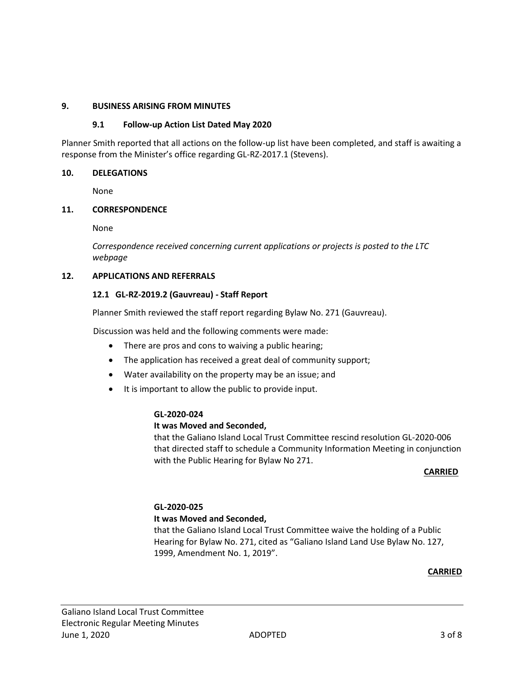## **9. BUSINESS ARISING FROM MINUTES**

## **9.1 Follow-up Action List Dated May 2020**

Planner Smith reported that all actions on the follow-up list have been completed, and staff is awaiting a response from the Minister's office regarding GL-RZ-2017.1 (Stevens).

#### **10. DELEGATIONS**

None

#### **11. CORRESPONDENCE**

None

*Correspondence received concerning current applications or projects is posted to the LTC webpage*

#### **12. APPLICATIONS AND REFERRALS**

#### **12.1 GL-RZ-2019.2 (Gauvreau) - Staff Report**

Planner Smith reviewed the staff report regarding Bylaw No. 271 (Gauvreau).

Discussion was held and the following comments were made:

- There are pros and cons to waiving a public hearing;
- The application has received a great deal of community support;
- Water availability on the property may be an issue; and
- It is important to allow the public to provide input.

#### **GL-2020-024**

#### **It was Moved and Seconded,**

that the Galiano Island Local Trust Committee rescind resolution GL-2020-006 that directed staff to schedule a Community Information Meeting in conjunction with the Public Hearing for Bylaw No 271.

#### *CARRIED* **CARRIED**

#### **GL-2020-025 It was Moved and Seconded,**

that the Galiano Island Local Trust Committee waive the holding of a Public Hearing for Bylaw No. 271, cited as "Galiano Island Land Use Bylaw No. 127, 1999, Amendment No. 1, 2019".

#### **CARRIED**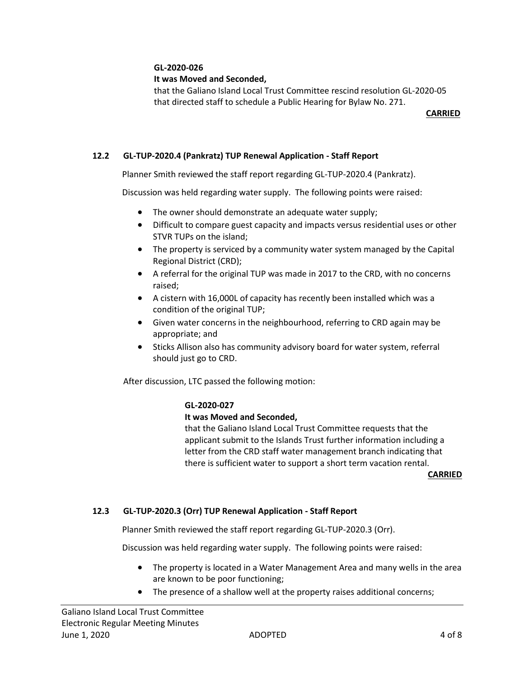## **GL-2020-026**

## **It was Moved and Seconded,**

that the Galiano Island Local Trust Committee rescind resolution GL-2020-05 that directed staff to schedule a Public Hearing for Bylaw No. 271.

المستخدم المستخدم المستخدم المستخدم المستخدم المستخدم المستخدم المستخدم المستخدم المستخدم المستخدم المستخدم ال

## **12.2 GL-TUP-2020.4 (Pankratz) TUP Renewal Application - Staff Report**

Planner Smith reviewed the staff report regarding GL-TUP-2020.4 (Pankratz).

Discussion was held regarding water supply. The following points were raised:

- The owner should demonstrate an adequate water supply;
- Difficult to compare guest capacity and impacts versus residential uses or other STVR TUPs on the island;
- The property is serviced by a community water system managed by the Capital Regional District (CRD);
- A referral for the original TUP was made in 2017 to the CRD, with no concerns raised;
- A cistern with 16,000L of capacity has recently been installed which was a condition of the original TUP;
- Given water concerns in the neighbourhood, referring to CRD again may be appropriate; and
- Sticks Allison also has community advisory board for water system, referral should just go to CRD.

After discussion, LTC passed the following motion:

## **GL-2020-027**

#### **It was Moved and Seconded,**

that the Galiano Island Local Trust Committee requests that the applicant submit to the Islands Trust further information including a letter from the CRD staff water management branch indicating that there is sufficient water to support a short term vacation rental.

**CARRIED**

## **12.3 GL-TUP-2020.3 (Orr) TUP Renewal Application - Staff Report**

Planner Smith reviewed the staff report regarding GL-TUP-2020.3 (Orr).

Discussion was held regarding water supply. The following points were raised:

- The property is located in a Water Management Area and many wells in the area are known to be poor functioning;
- The presence of a shallow well at the property raises additional concerns;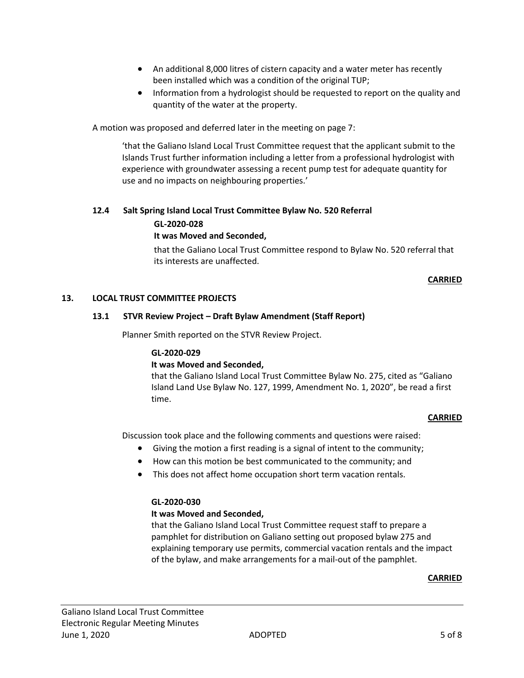- An additional 8,000 litres of cistern capacity and a water meter has recently been installed which was a condition of the original TUP;
- Information from a hydrologist should be requested to report on the quality and quantity of the water at the property.

A motion was proposed and deferred later in the meeting on page 7:

'that the Galiano Island Local Trust Committee request that the applicant submit to the Islands Trust further information including a letter from a professional hydrologist with experience with groundwater assessing a recent pump test for adequate quantity for use and no impacts on neighbouring properties.'

## **12.4 Salt Spring Island Local Trust Committee Bylaw No. 520 Referral**

#### **GL-2020-028**

## **It was Moved and Seconded,**

that the Galiano Local Trust Committee respond to Bylaw No. 520 referral that its interests are unaffected.

#### **CARRIED**

#### **13. LOCAL TRUST COMMITTEE PROJECTS**

#### **13.1 STVR Review Project – Draft Bylaw Amendment (Staff Report)**

Planner Smith reported on the STVR Review Project.

## **GL-2020-029**

#### **It was Moved and Seconded,**

that the Galiano Island Local Trust Committee Bylaw No. 275, cited as "Galiano Island Land Use Bylaw No. 127, 1999, Amendment No. 1, 2020", be read a first time.

#### **CARRIED**

Discussion took place and the following comments and questions were raised:

- Giving the motion a first reading is a signal of intent to the community;
- How can this motion be best communicated to the community; and
- This does not affect home occupation short term vacation rentals.

## **GL-2020-030**

## **It was Moved and Seconded,**

that the Galiano Island Local Trust Committee request staff to prepare a pamphlet for distribution on Galiano setting out proposed bylaw 275 and explaining temporary use permits, commercial vacation rentals and the impact of the bylaw, and make arrangements for a mail-out of the pamphlet.

#### **CARRIED**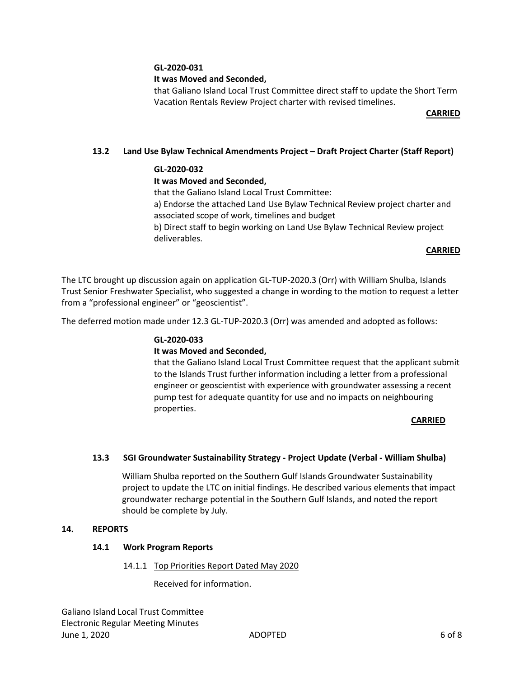## **GL-2020-031**

## **It was Moved and Seconded,**

that Galiano Island Local Trust Committee direct staff to update the Short Term Vacation Rentals Review Project charter with revised timelines.

**CARRIED**

## **13.2 Land Use Bylaw Technical Amendments Project – Draft Project Charter (Staff Report)**

## **GL-2020-032**

## **It was Moved and Seconded,**

that the Galiano Island Local Trust Committee:

a) Endorse the attached Land Use Bylaw Technical Review project charter and associated scope of work, timelines and budget

b) Direct staff to begin working on Land Use Bylaw Technical Review project deliverables.

#### **CARRIED**

The LTC brought up discussion again on application GL-TUP-2020.3 (Orr) with William Shulba, Islands Trust Senior Freshwater Specialist, who suggested a change in wording to the motion to request a letter from a "professional engineer" or "geoscientist".

The deferred motion made under 12.3 GL-TUP-2020.3 (Orr) was amended and adopted as follows:

## **GL-2020-033**

## **It was Moved and Seconded,**

that the Galiano Island Local Trust Committee request that the applicant submit to the Islands Trust further information including a letter from a professional engineer or geoscientist with experience with groundwater assessing a recent pump test for adequate quantity for use and no impacts on neighbouring properties.

#### *CARRIED* **CARRIED**

## **13.3 SGI Groundwater Sustainability Strategy - Project Update (Verbal - William Shulba)**

William Shulba reported on the Southern Gulf Islands Groundwater Sustainability project to update the LTC on initial findings. He described various elements that impact groundwater recharge potential in the Southern Gulf Islands, and noted the report should be complete by July.

#### **14. REPORTS**

#### **14.1 Work Program Reports**

#### 14.1.1 Top Priorities Report Dated May 2020

Received for information.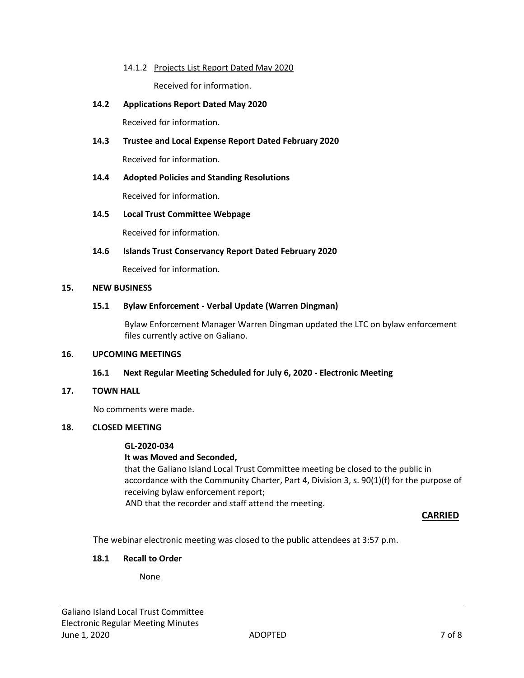## 14.1.2 Projects List Report Dated May 2020

Received for information.

## **14.2 Applications Report Dated May 2020**

Received for information.

## **14.3 Trustee and Local Expense Report Dated February 2020**

Received for information.

## **14.4 Adopted Policies and Standing Resolutions**

Received for information.

## **14.5 Local Trust Committee Webpage**

Received for information.

## **14.6 Islands Trust Conservancy Report Dated February 2020**

Received for information.

#### **15. NEW BUSINESS**

## **15.1 Bylaw Enforcement - Verbal Update (Warren Dingman)**

Bylaw Enforcement Manager Warren Dingman updated the LTC on bylaw enforcement files currently active on Galiano.

#### **16. UPCOMING MEETINGS**

## **16.1 Next Regular Meeting Scheduled for July 6, 2020 - Electronic Meeting**

## **17. TOWN HALL**

No comments were made.

#### **18. CLOSED MEETING**

#### **GL-2020-034**

## **It was Moved and Seconded,**

that the Galiano Island Local Trust Committee meeting be closed to the public in accordance with the Community Charter, Part 4, Division 3, s. 90(1)(f) for the purpose of receiving bylaw enforcement report;

AND that the recorder and staff attend the meeting.

 **CARRIED**

The webinar electronic meeting was closed to the public attendees at 3:57 p.m.

## **18.1 Recall to Order**

None